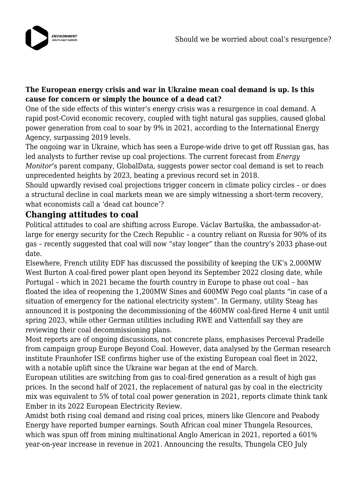

#### **The European energy crisis and war in Ukraine mean coal demand is up. Is this cause for concern or simply the bounce of a dead cat?**

One of the side effects of this winter's energy crisis was a resurgence in coal demand. A rapid post-Covid economic recovery, coupled with tight natural gas supplies, caused global power generation from coal to soar by 9% in 2021, according to the International Energy Agency, surpassing 2019 levels.

The ongoing war in Ukraine, which has seen a Europe-wide drive to get off Russian gas, has led analysts to further revise up coal projections. The current forecast from *Energy Monitor*'s parent company, GlobalData, suggests power sector coal demand is set to reach unprecedented heights by 2023, beating a previous record set in 2018.

Should upwardly revised coal projections trigger concern in climate policy circles – or does a structural decline in coal markets mean we are simply witnessing a short-term recovery, what economists call a 'dead cat bounce'?

# **Changing attitudes to coal**

Political attitudes to coal are shifting across Europe. Václav Bartuška, the ambassador-atlarge for energy security for the Czech Republic – a country reliant on Russia for 90% of its gas – recently suggested that coal will now "stay longer" than the country's 2033 phase-out date.

Elsewhere, French utility EDF has discussed the possibility of keeping the UK's 2,000MW West Burton A coal-fired power plant open beyond its September 2022 closing date, while Portugal – which in 2021 became the fourth country in Europe to phase out coal – has floated the idea of reopening the 1,200MW Sines and 600MW Pego coal plants "in case of a situation of emergency for the national electricity system". In Germany, utility Steag has announced it is postponing the decommissioning of the 460MW coal-fired Herne 4 unit until spring 2023, while other German utilities including RWE and Vattenfall say they are reviewing their coal decommissioning plans.

Most reports are of ongoing discussions, not concrete plans, emphasises Perceval Pradelle from campaign group Europe Beyond Coal. However, data analysed by the German research institute Fraunhofer ISE confirms higher use of the existing European coal fleet in 2022, with a notable uplift since the Ukraine war began at the end of March.

European utilities are switching from gas to coal-fired generation as a result of high gas prices. In the second half of 2021, the replacement of natural gas by coal in the electricity mix was equivalent to 5% of total coal power generation in 2021, reports climate think tank Ember in its 2022 European Electricity Review.

Amidst both rising coal demand and rising coal prices, miners like Glencore and Peabody Energy have reported bumper earnings. South African coal miner Thungela Resources, which was spun off from mining multinational Anglo American in 2021, reported a 601% year-on-year increase in revenue in 2021. Announcing the results, Thungela CEO July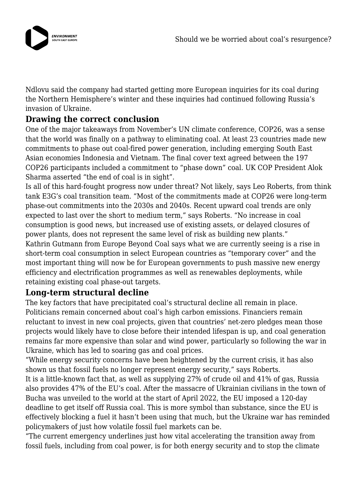

Ndlovu said the company had started getting more European inquiries for its coal during the Northern Hemisphere's winter and these inquiries had continued following Russia's invasion of Ukraine.

# **Drawing the correct conclusion**

One of the major takeaways from November's UN climate conference, COP26, was a sense that the world was finally on a pathway to eliminating coal. At least 23 countries made new commitments to phase out coal-fired power generation, including emerging South East Asian economies Indonesia and Vietnam. The final cover text agreed between the 197 COP26 participants included a commitment to "phase down" coal. UK COP President Alok Sharma asserted "the end of coal is in sight".

Is all of this hard-fought progress now under threat? Not likely, says Leo Roberts, from think tank E3G's coal transition team. "Most of the commitments made at COP26 were long-term phase-out commitments into the 2030s and 2040s. Recent upward coal trends are only expected to last over the short to medium term," says Roberts. "No increase in coal consumption is good news, but increased use of existing assets, or delayed closures of power plants, does not represent the same level of risk as building new plants." Kathrin Gutmann from Europe Beyond Coal says what we are currently seeing is a rise in short-term coal consumption in select European countries as "temporary cover" and the most important thing will now be for European governments to push massive new energy efficiency and electrification programmes as well as renewables deployments, while retaining existing coal phase-out targets.

## **Long-term structural decline**

The key factors that have precipitated coal's structural decline all remain in place. Politicians remain concerned about coal's high carbon emissions. Financiers remain reluctant to invest in new coal projects, given that countries' net-zero pledges mean those projects would likely have to close before their intended lifespan is up, and coal generation remains far more expensive than solar and wind power, particularly so following the war in Ukraine, which has led to soaring gas and coal prices.

"While energy security concerns have been heightened by the current crisis, it has also shown us that fossil fuels no longer represent energy security," says Roberts.

It is a little-known fact that, as well as supplying 27% of crude oil and 41% of gas, Russia also provides 47% of the EU's coal. After the massacre of Ukrainian civilians in the town of Bucha was unveiled to the world at the start of April 2022, the EU imposed a 120-day deadline to get itself off Russia coal. This is more symbol than substance, since the EU is effectively blocking a fuel it hasn't been using that much, but the Ukraine war has reminded policymakers of just how volatile fossil fuel markets can be.

"The current emergency underlines just how vital accelerating the transition away from fossil fuels, including from coal power, is for both energy security and to stop the climate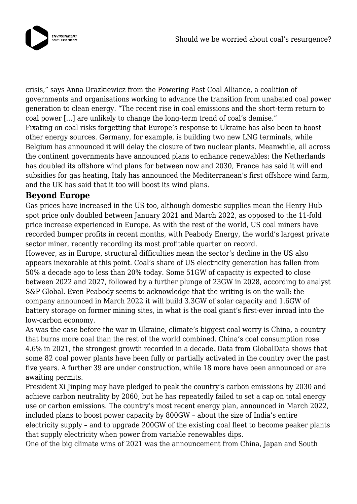

crisis," says Anna Drazkiewicz from the Powering Past Coal Alliance, a coalition of governments and organisations working to advance the transition from unabated coal power generation to clean energy. "The recent rise in coal emissions and the short-term return to coal power […] are unlikely to change the long-term trend of coal's demise." Fixating on coal risks forgetting that Europe's response to Ukraine has also been to boost other energy sources. Germany, for example, is building two new LNG terminals, while Belgium has announced it will delay the closure of two nuclear plants. Meanwhile, all across the continent governments have announced plans to enhance renewables: the Netherlands has doubled its offshore wind plans for between now and 2030, France has said it will end subsidies for gas heating, Italy has announced the Mediterranean's first offshore wind farm, and the UK has said that it too will boost its wind plans.

#### **Beyond Europe**

Gas prices have increased in the US too, although domestic supplies mean the Henry Hub spot price only doubled between January 2021 and March 2022, as opposed to the 11-fold price increase experienced in Europe. As with the rest of the world, US coal miners have recorded bumper profits in recent months, with Peabody Energy, the world's largest private sector miner, recently recording its most profitable quarter on record.

However, as in Europe, structural difficulties mean the sector's decline in the US also appears inexorable at this point. Coal's share of US electricity generation has fallen from 50% a decade ago to less than 20% today. Some 51GW of capacity is expected to close between 2022 and 2027, followed by a further plunge of 23GW in 2028, according to analyst S&P Global. Even Peabody seems to acknowledge that the writing is on the wall: the company announced in March 2022 it will build 3.3GW of solar capacity and 1.6GW of battery storage on former mining sites, in what is the coal giant's first-ever inroad into the low-carbon economy.

As was the case before the war in Ukraine, climate's biggest coal worry is China, a country that burns more coal than the rest of the world combined. China's coal consumption rose 4.6% in 2021, the strongest growth recorded in a decade. Data from GlobalData shows that some 82 coal power plants have been fully or partially activated in the country over the past five years. A further 39 are under construction, while 18 more have been announced or are awaiting permits.

President Xi Jinping may have pledged to peak the country's carbon emissions by 2030 and achieve carbon neutrality by 2060, but he has repeatedly failed to set a cap on total energy use or carbon emissions. The country's most recent energy plan, announced in March 2022, included plans to boost power capacity by 800GW – about the size of India's entire electricity supply – and to upgrade 200GW of the existing coal fleet to become peaker plants that supply electricity when power from variable renewables dips.

One of the big climate wins of 2021 was the announcement from China, Japan and South